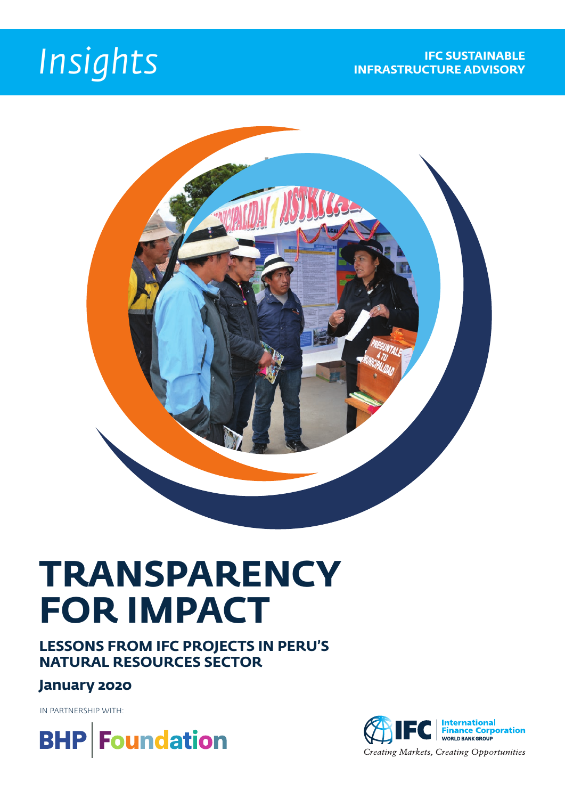

# **TRANSPARENCY FOR IMPACT**

**LESSONS FROM IFC PROJECTS IN PERU'S NATURAL RESOURCES SECTOR**

### **January 2020**

IN PARTNERSHIP WITH:



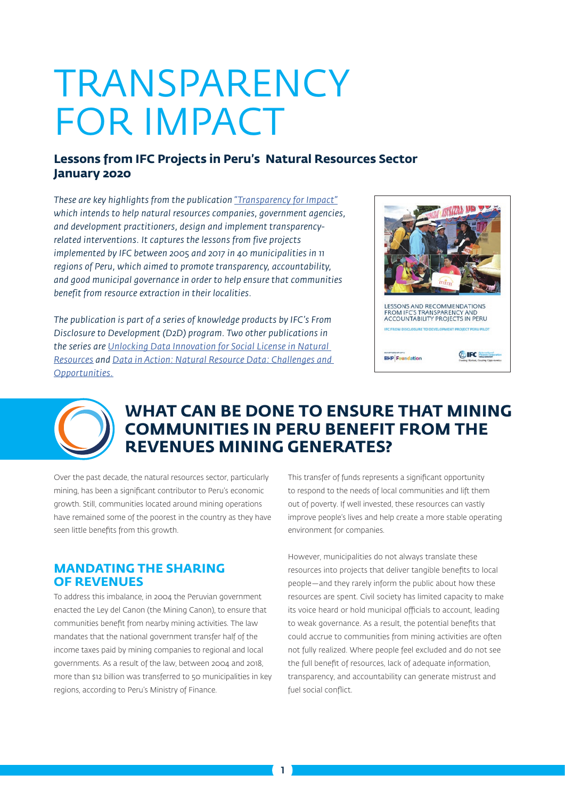# TRANSPARENCY FOR IMPACT

#### **Lessons from IFC Projects in Peru's Natural Resources Sector January 2020**

*These are key highlights from the publication ["Transparency for Impact"](https://www.commdev.org/publications/transparency-for-impact-lessons-from-ifc-projects-in-perus-natural-resources-sector/) which intends to help natural resources companies, government agencies, and development practitioners, design and implement transparencyrelated interventions. It captures the lessons from five projects implemented by IFC between 2005 and 2017 in 40 municipalities in 11 regions of Peru, which aimed to promote transparency, accountability, and good municipal governance in order to help ensure that communities benefit from resource extraction in their localities.*

*The publication is part of a series of knowledge products by IFC's From Disclosure to Development (D2D) program. Two other publications in the series are [Unlocking Data Innovation for Social License in Natural](https://www.commdev.org/publications/unlocking-data-innovation-for-social-license-in-natural-resources/)  [Resources](https://www.commdev.org/publications/unlocking-data-innovation-for-social-license-in-natural-resources/) and [Data in Action: Natural Resource Data: Challenges and](https://www.commdev.org/publications/data-in-action-natural-resources-disclosure-for-people-and-progress/)  [Opportunities.](https://www.commdev.org/publications/data-in-action-natural-resources-disclosure-for-people-and-progress/)*





## **WHAT CAN BE DONE TO ENSURE THAT MINING COMMUNITIES IN PERU BENEFIT FROM THE REVENUES MINING GENERATES?**

Over the past decade, the natural resources sector, particularly mining, has been a significant contributor to Peru's economic growth. Still, communities located around mining operations have remained some of the poorest in the country as they have seen little benefits from this growth.

#### **MANDATING THE SHARING OF REVENUES**

To address this imbalance, in 2004 the Peruvian government enacted the Ley del Canon (the Mining Canon), to ensure that communities benefit from nearby mining activities. The law mandates that the national government transfer half of the income taxes paid by mining companies to regional and local governments. As a result of the law, between 2004 and 2018, more than \$12 billion was transferred to 50 municipalities in key regions, according to Peru's Ministry of Finance.

This transfer of funds represents a significant opportunity to respond to the needs of local communities and lift them out of poverty. If well invested, these resources can vastly improve people's lives and help create a more stable operating environment for companies.

However, municipalities do not always translate these resources into projects that deliver tangible benefits to local people—and they rarely inform the public about how these resources are spent. Civil society has limited capacity to make its voice heard or hold municipal officials to account, leading to weak governance. As a result, the potential benefits that could accrue to communities from mining activities are often not fully realized. Where people feel excluded and do not see the full benefit of resources, lack of adequate information, transparency, and accountability can generate mistrust and fuel social conflict.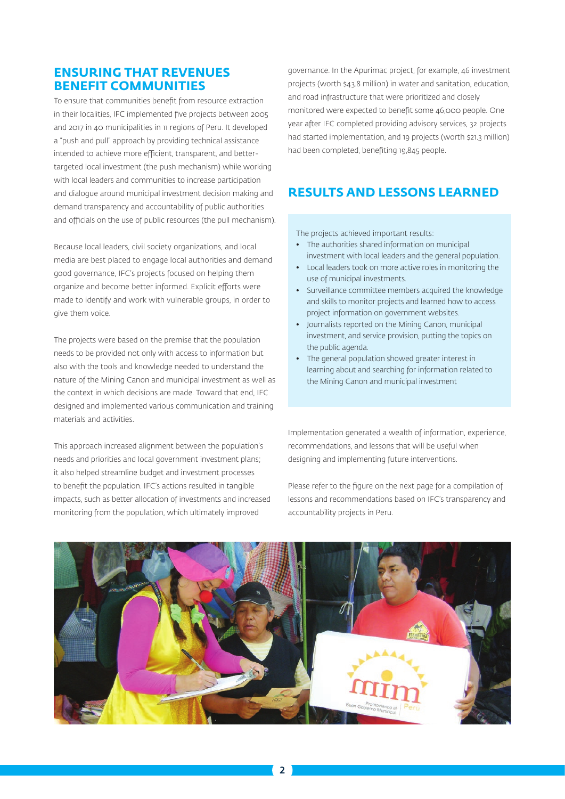#### **ENSURING THAT REVENUES BENEFIT COMMUNITIES**

To ensure that communities benefit from resource extraction in their localities, IFC implemented five projects between 2005 and 2017 in 40 municipalities in 11 regions of Peru. It developed a "push and pull" approach by providing technical assistance intended to achieve more efficient, transparent, and bettertargeted local investment (the push mechanism) while working with local leaders and communities to increase participation and dialogue around municipal investment decision making and demand transparency and accountability of public authorities and officials on the use of public resources (the pull mechanism).

Because local leaders, civil society organizations, and local media are best placed to engage local authorities and demand good governance, IFC's projects focused on helping them organize and become better informed. Explicit efforts were made to identify and work with vulnerable groups, in order to give them voice.

The projects were based on the premise that the population needs to be provided not only with access to information but also with the tools and knowledge needed to understand the nature of the Mining Canon and municipal investment as well as the context in which decisions are made. Toward that end, IFC designed and implemented various communication and training materials and activities.

This approach increased alignment between the population's needs and priorities and local government investment plans; it also helped streamline budget and investment processes to benefit the population. IFC's actions resulted in tangible impacts, such as better allocation of investments and increased monitoring from the population, which ultimately improved

governance. In the Apurimac project, for example, 46 investment projects (worth \$43.8 million) in water and sanitation, education, and road infrastructure that were prioritized and closely monitored were expected to benefit some 46,000 people. One year after IFC completed providing advisory services, 32 projects had started implementation, and 19 projects (worth \$21.3 million) had been completed, benefiting 19,845 people.

### **RESULTS AND LESSONS LEARNED**

The projects achieved important results:

- The authorities shared information on municipal investment with local leaders and the general population.
- Local leaders took on more active roles in monitoring the use of municipal investments.
- Surveillance committee members acquired the knowledge and skills to monitor projects and learned how to access project information on government websites.
- Journalists reported on the Mining Canon, municipal investment, and service provision, putting the topics on the public agenda.
- The general population showed greater interest in learning about and searching for information related to the Mining Canon and municipal investment

Implementation generated a wealth of information, experience, recommendations, and lessons that will be useful when designing and implementing future interventions.

Please refer to the figure on the next page for a compilation of lessons and recommendations based on IFC's transparency and accountability projects in Peru.